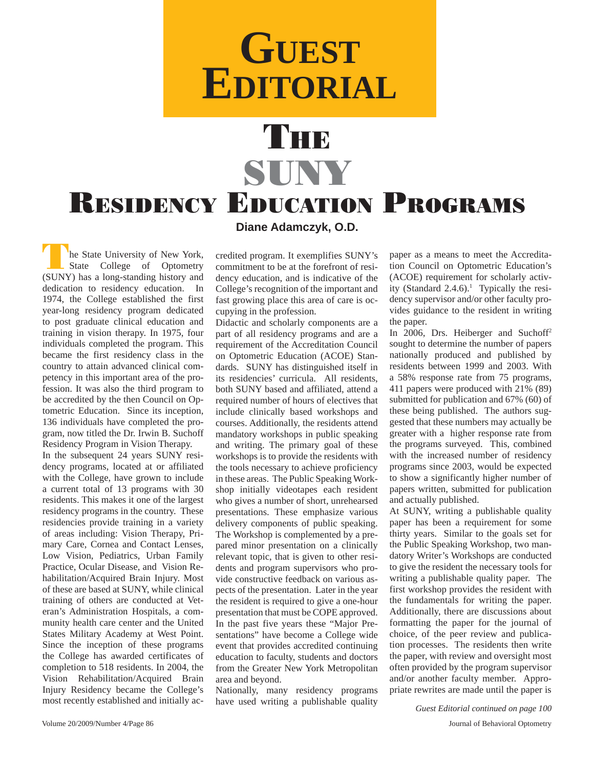## **GUEST EDITORIAL**

## THE SUNY RESIDENCY EDUCATION PROGRAMS **Diane Adamczyk, O.D.**

The State University of New York,<br>
State College of Optometry<br>
State Lens starting history and (SUNY) has a long-standing history and dedication to residency education. In 1974, the College established the first year-long residency program dedicated to post graduate clinical education and training in vision therapy. In 1975, four individuals completed the program. This became the first residency class in the country to attain advanced clinical competency in this important area of the profession. It was also the third program to be accredited by the then Council on Optometric Education. Since its inception, 136 individuals have completed the program, now titled the Dr. Irwin B. Suchoff Residency Program in Vision Therapy.

In the subsequent 24 years SUNY residency programs, located at or affiliated with the College, have grown to include a current total of 13 programs with 30 residents. This makes it one of the largest residency programs in the country. These residencies provide training in a variety of areas including: Vision Therapy, Primary Care, Cornea and Contact Lenses, Low Vision, Pediatrics, Urban Family Practice, Ocular Disease, and Vision Rehabilitation/Acquired Brain Injury. Most of these are based at SUNY, while clinical training of others are conducted at Veteran's Administration Hospitals, a community health care center and the United States Military Academy at West Point. Since the inception of these programs the College has awarded certificates of completion to 518 residents. In 2004, the Vision Rehabilitation/Acquired Brain Injury Residency became the College's most recently established and initially accredited program. It exemplifies SUNY's commitment to be at the forefront of residency education, and is indicative of the College's recognition of the important and fast growing place this area of care is occupying in the profession.

Didactic and scholarly components are a part of all residency programs and are a requirement of the Accreditation Council on Optometric Education (ACOE) Standards. SUNY has distinguished itself in its residencies' curricula. All residents, both SUNY based and affiliated, attend a required number of hours of electives that include clinically based workshops and courses. Additionally, the residents attend mandatory workshops in public speaking and writing. The primary goal of these workshops is to provide the residents with the tools necessary to achieve proficiency in these areas. The Public Speaking Workshop initially videotapes each resident who gives a number of short, unrehearsed presentations. These emphasize various delivery components of public speaking. The Workshop is complemented by a prepared minor presentation on a clinically relevant topic, that is given to other residents and program supervisors who provide constructive feedback on various aspects of the presentation. Later in the year the resident is required to give a one-hour presentation that must be COPE approved. In the past five years these "Major Presentations" have become a College wide event that provides accredited continuing education to faculty, students and doctors from the Greater New York Metropolitan area and beyond.

Nationally, many residency programs have used writing a publishable quality

paper as a means to meet the Accreditation Council on Optometric Education's (ACOE) requirement for scholarly activity (Standard  $2.4.6$ ).<sup>1</sup> Typically the residency supervisor and/or other faculty provides guidance to the resident in writing the paper.

In 2006, Drs. Heiberger and Suchoff<sup>2</sup> sought to determine the number of papers nationally produced and published by residents between 1999 and 2003. With a 58% response rate from 75 programs, 411 papers were produced with 21% (89) submitted for publication and 67% (60) of these being published. The authors suggested that these numbers may actually be greater with a higher response rate from the programs surveyed. This, combined with the increased number of residency programs since 2003, would be expected to show a significantly higher number of papers written, submitted for publication and actually published.

At SUNY, writing a publishable quality paper has been a requirement for some thirty years. Similar to the goals set for the Public Speaking Workshop, two mandatory Writer's Workshops are conducted to give the resident the necessary tools for writing a publishable quality paper. The first workshop provides the resident with the fundamentals for writing the paper. Additionally, there are discussions about formatting the paper for the journal of choice, of the peer review and publication processes. The residents then write the paper, with review and oversight most often provided by the program supervisor and/or another faculty member. Appropriate rewrites are made until the paper is

*Guest Editorial continued on page 100*